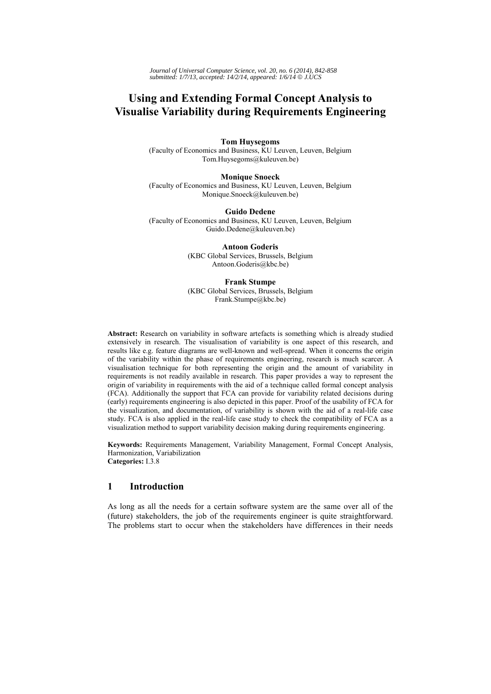*Journal of Universal Computer Science, vol. 20, no. 6 (2014), 842-858 submitted: 1/7/13, accepted: 14/2/14, appeared: 1/6/14* © *J.UCS*

# **Using and Extending Formal Concept Analysis to Visualise Variability during Requirements Engineering**

#### **Tom Huysegoms**

(Faculty of Economics and Business, KU Leuven, Leuven, Belgium Tom.Huysegoms@kuleuven.be)

**Monique Snoeck** (Faculty of Economics and Business, KU Leuven, Leuven, Belgium Monique.Snoeck@kuleuven.be)

**Guido Dedene** (Faculty of Economics and Business, KU Leuven, Leuven, Belgium Guido.Dedene@kuleuven.be)

> **Antoon Goderis** (KBC Global Services, Brussels, Belgium Antoon.Goderis@kbc.be)

> **Frank Stumpe** (KBC Global Services, Brussels, Belgium Frank.Stumpe@kbc.be)

**Abstract:** Research on variability in software artefacts is something which is already studied extensively in research. The visualisation of variability is one aspect of this research, and results like e.g. feature diagrams are well-known and well-spread. When it concerns the origin of the variability within the phase of requirements engineering, research is much scarcer. A visualisation technique for both representing the origin and the amount of variability in requirements is not readily available in research. This paper provides a way to represent the origin of variability in requirements with the aid of a technique called formal concept analysis (FCA). Additionally the support that FCA can provide for variability related decisions during (early) requirements engineering is also depicted in this paper. Proof of the usability of FCA for the visualization, and documentation, of variability is shown with the aid of a real-life case study. FCA is also applied in the real-life case study to check the compatibility of FCA as a visualization method to support variability decision making during requirements engineering.

**Keywords:** Requirements Management, Variability Management, Formal Concept Analysis, Harmonization, Variabilization **Categories:** I.3.8

### **1 Introduction**

As long as all the needs for a certain software system are the same over all of the (future) stakeholders, the job of the requirements engineer is quite straightforward. The problems start to occur when the stakeholders have differences in their needs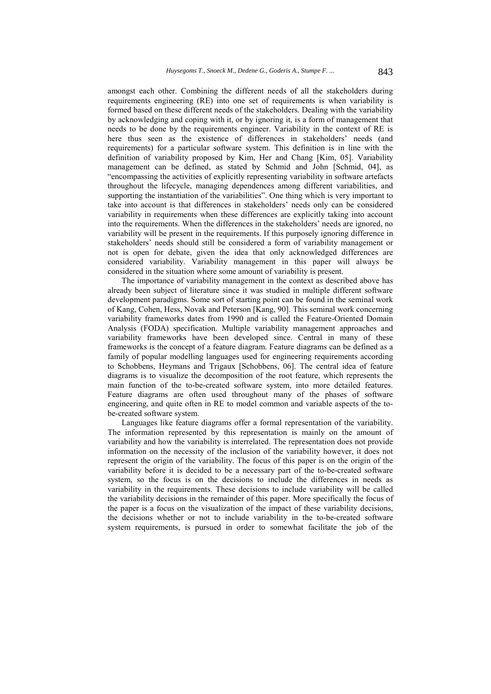amongst each other. Combining the different needs of all the stakeholders during requirements engineering (RE) into one set of requirements is when variability is formed based on these different needs of the stakeholders. Dealing with the variability by acknowledging and coping with it, or by ignoring it, is a form of management that needs to be done by the requirements engineer. Variability in the context of RE is here thus seen as the existence of differences in stakeholders' needs (and requirements) for a particular software system. This definition is in line with the definition of variability proposed by Kim, Her and Chang [Kim, 05]. Variability management can be defined, as stated by Schmid and John [Schmid, 04], as "encompassing the activities of explicitly representing variability in software artefacts throughout the lifecycle, managing dependences among different variabilities, and supporting the instantiation of the variabilities". One thing which is very important to take into account is that differences in stakeholders' needs only can be considered variability in requirements when these differences are explicitly taking into account into the requirements. When the differences in the stakeholders' needs are ignored, no variability will be present in the requirements. If this purposely ignoring difference in stakeholders' needs should still be considered a form of variability management or not is open for debate, given the idea that only acknowledged differences are considered variability. Variability management in this paper will always be considered in the situation where some amount of variability is present.

The importance of variability management in the context as described above has already been subject of literature since it was studied in multiple different software development paradigms. Some sort of starting point can be found in the seminal work of Kang, Cohen, Hess, Novak and Peterson [Kang, 90]. This seminal work concerning variability frameworks dates from 1990 and is called the Feature-Oriented Domain Analysis (FODA) specification. Multiple variability management approaches and variability frameworks have been developed since. Central in many of these frameworks is the concept of a feature diagram. Feature diagrams can be defined as a family of popular modelling languages used for engineering requirements according to Schobbens, Heymans and Trigaux [Schobbens, 06]. The central idea of feature diagrams is to visualize the decomposition of the root feature, which represents the main function of the to-be-created software system, into more detailed features. Feature diagrams are often used throughout many of the phases of software engineering, and quite often in RE to model common and variable aspects of the tobe-created software system.

Languages like feature diagrams offer a formal representation of the variability. The information represented by this representation is mainly on the amount of variability and how the variability is interrelated. The representation does not provide information on the necessity of the inclusion of the variability however, it does not represent the origin of the variability. The focus of this paper is on the origin of the variability before it is decided to be a necessary part of the to-be-created software system, so the focus is on the decisions to include the differences in needs as variability in the requirements. These decisions to include variability will be called the variability decisions in the remainder of this paper. More specifically the focus of the paper is a focus on the visualization of the impact of these variability decisions, the decisions whether or not to include variability in the to-be-created software system requirements, is pursued in order to somewhat facilitate the job of the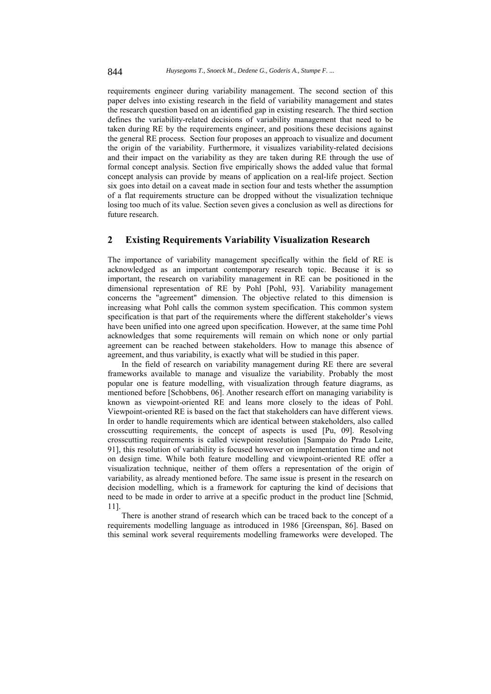requirements engineer during variability management. The second section of this paper delves into existing research in the field of variability management and states the research question based on an identified gap in existing research. The third section defines the variability-related decisions of variability management that need to be taken during RE by the requirements engineer, and positions these decisions against the general RE process. Section four proposes an approach to visualize and document the origin of the variability. Furthermore, it visualizes variability-related decisions and their impact on the variability as they are taken during RE through the use of formal concept analysis. Section five empirically shows the added value that formal concept analysis can provide by means of application on a real-life project. Section six goes into detail on a caveat made in section four and tests whether the assumption of a flat requirements structure can be dropped without the visualization technique losing too much of its value. Section seven gives a conclusion as well as directions for future research.

## **2 Existing Requirements Variability Visualization Research**

The importance of variability management specifically within the field of RE is acknowledged as an important contemporary research topic. Because it is so important, the research on variability management in RE can be positioned in the dimensional representation of RE by Pohl [Pohl, 93]. Variability management concerns the "agreement" dimension. The objective related to this dimension is increasing what Pohl calls the common system specification. This common system specification is that part of the requirements where the different stakeholder's views have been unified into one agreed upon specification. However, at the same time Pohl acknowledges that some requirements will remain on which none or only partial agreement can be reached between stakeholders. How to manage this absence of agreement, and thus variability, is exactly what will be studied in this paper.

In the field of research on variability management during RE there are several frameworks available to manage and visualize the variability. Probably the most popular one is feature modelling, with visualization through feature diagrams, as mentioned before [Schobbens, 06]. Another research effort on managing variability is known as viewpoint-oriented RE and leans more closely to the ideas of Pohl. Viewpoint-oriented RE is based on the fact that stakeholders can have different views. In order to handle requirements which are identical between stakeholders, also called crosscutting requirements, the concept of aspects is used [Pu, 09]. Resolving crosscutting requirements is called viewpoint resolution [Sampaio do Prado Leite, 91], this resolution of variability is focused however on implementation time and not on design time. While both feature modelling and viewpoint-oriented RE offer a visualization technique, neither of them offers a representation of the origin of variability, as already mentioned before. The same issue is present in the research on decision modelling, which is a framework for capturing the kind of decisions that need to be made in order to arrive at a specific product in the product line [Schmid, 11].

There is another strand of research which can be traced back to the concept of a requirements modelling language as introduced in 1986 [Greenspan, 86]. Based on this seminal work several requirements modelling frameworks were developed. The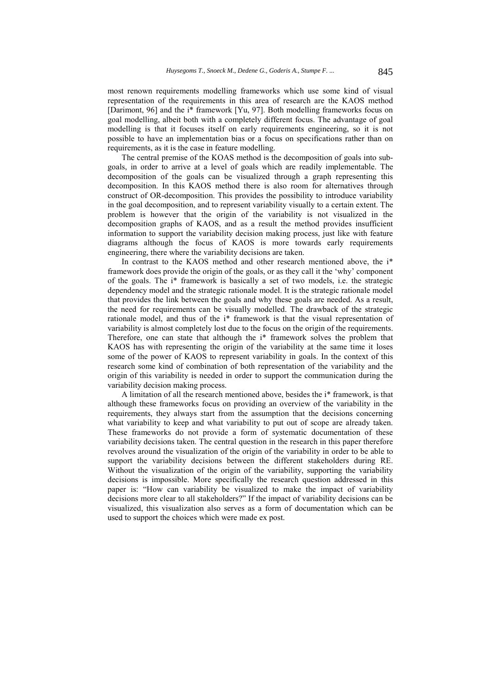most renown requirements modelling frameworks which use some kind of visual representation of the requirements in this area of research are the KAOS method [Darimont, 96] and the i\* framework [Yu, 97]. Both modelling frameworks focus on goal modelling, albeit both with a completely different focus. The advantage of goal modelling is that it focuses itself on early requirements engineering, so it is not possible to have an implementation bias or a focus on specifications rather than on requirements, as it is the case in feature modelling.

The central premise of the KOAS method is the decomposition of goals into subgoals, in order to arrive at a level of goals which are readily implementable. The decomposition of the goals can be visualized through a graph representing this decomposition. In this KAOS method there is also room for alternatives through construct of OR-decomposition. This provides the possibility to introduce variability in the goal decomposition, and to represent variability visually to a certain extent. The problem is however that the origin of the variability is not visualized in the decomposition graphs of KAOS, and as a result the method provides insufficient information to support the variability decision making process, just like with feature diagrams although the focus of KAOS is more towards early requirements engineering, there where the variability decisions are taken.

In contrast to the KAOS method and other research mentioned above, the i\* framework does provide the origin of the goals, or as they call it the 'why' component of the goals. The i\* framework is basically a set of two models, i.e. the strategic dependency model and the strategic rationale model. It is the strategic rationale model that provides the link between the goals and why these goals are needed. As a result, the need for requirements can be visually modelled. The drawback of the strategic rationale model, and thus of the i\* framework is that the visual representation of variability is almost completely lost due to the focus on the origin of the requirements. Therefore, one can state that although the i\* framework solves the problem that KAOS has with representing the origin of the variability at the same time it loses some of the power of KAOS to represent variability in goals. In the context of this research some kind of combination of both representation of the variability and the origin of this variability is needed in order to support the communication during the variability decision making process.

A limitation of all the research mentioned above, besides the i\* framework, is that although these frameworks focus on providing an overview of the variability in the requirements, they always start from the assumption that the decisions concerning what variability to keep and what variability to put out of scope are already taken. These frameworks do not provide a form of systematic documentation of these variability decisions taken. The central question in the research in this paper therefore revolves around the visualization of the origin of the variability in order to be able to support the variability decisions between the different stakeholders during RE. Without the visualization of the origin of the variability, supporting the variability decisions is impossible. More specifically the research question addressed in this paper is: "How can variability be visualized to make the impact of variability decisions more clear to all stakeholders?" If the impact of variability decisions can be visualized, this visualization also serves as a form of documentation which can be used to support the choices which were made ex post.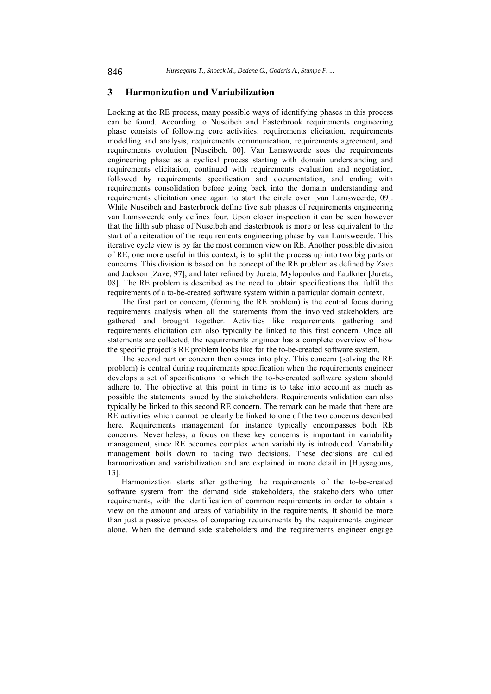#### **3 Harmonization and Variabilization**

Looking at the RE process, many possible ways of identifying phases in this process can be found. According to Nuseibeh and Easterbrook requirements engineering phase consists of following core activities: requirements elicitation, requirements modelling and analysis, requirements communication, requirements agreement, and requirements evolution [Nuseibeh, 00]. Van Lamsweerde sees the requirements engineering phase as a cyclical process starting with domain understanding and requirements elicitation, continued with requirements evaluation and negotiation, followed by requirements specification and documentation, and ending with requirements consolidation before going back into the domain understanding and requirements elicitation once again to start the circle over [van Lamsweerde, 09]. While Nuseibeh and Easterbrook define five sub phases of requirements engineering van Lamsweerde only defines four. Upon closer inspection it can be seen however that the fifth sub phase of Nuseibeh and Easterbrook is more or less equivalent to the start of a reiteration of the requirements engineering phase by van Lamsweerde. This iterative cycle view is by far the most common view on RE. Another possible division of RE, one more useful in this context, is to split the process up into two big parts or concerns. This division is based on the concept of the RE problem as defined by Zave and Jackson [Zave, 97], and later refined by Jureta, Mylopoulos and Faulkner [Jureta, 08]. The RE problem is described as the need to obtain specifications that fulfil the requirements of a to-be-created software system within a particular domain context.

The first part or concern, (forming the RE problem) is the central focus during requirements analysis when all the statements from the involved stakeholders are gathered and brought together. Activities like requirements gathering and requirements elicitation can also typically be linked to this first concern. Once all statements are collected, the requirements engineer has a complete overview of how the specific project's RE problem looks like for the to-be-created software system.

The second part or concern then comes into play. This concern (solving the RE problem) is central during requirements specification when the requirements engineer develops a set of specifications to which the to-be-created software system should adhere to. The objective at this point in time is to take into account as much as possible the statements issued by the stakeholders. Requirements validation can also typically be linked to this second RE concern. The remark can be made that there are RE activities which cannot be clearly be linked to one of the two concerns described here. Requirements management for instance typically encompasses both RE concerns. Nevertheless, a focus on these key concerns is important in variability management, since RE becomes complex when variability is introduced. Variability management boils down to taking two decisions. These decisions are called harmonization and variabilization and are explained in more detail in [Huysegoms, 13].

Harmonization starts after gathering the requirements of the to-be-created software system from the demand side stakeholders, the stakeholders who utter requirements, with the identification of common requirements in order to obtain a view on the amount and areas of variability in the requirements. It should be more than just a passive process of comparing requirements by the requirements engineer alone. When the demand side stakeholders and the requirements engineer engage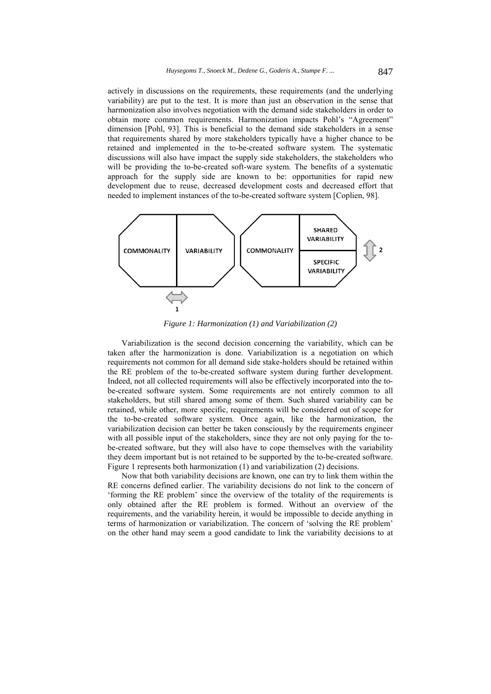actively in discussions on the requirements, these requirements (and the underlying variability) are put to the test. It is more than just an observation in the sense that harmonization also involves negotiation with the demand side stakeholders in order to obtain more common requirements. Harmonization impacts Pohl's "Agreement" dimension [Pohl, 93]. This is beneficial to the demand side stakeholders in a sense that requirements shared by more stakeholders typically have a higher chance to be retained and implemented in the to-be-created software system. The systematic discussions will also have impact the supply side stakeholders, the stakeholders who will be providing the to-be-created soft-ware system. The benefits of a systematic approach for the supply side are known to be: opportunities for rapid new development due to reuse, decreased development costs and decreased effort that needed to implement instances of the to-be-created software system [Coplien, 98].



*Figure 1: Harmonization (1) and Variabilization (2)* 

Variabilization is the second decision concerning the variability, which can be taken after the harmonization is done. Variabilization is a negotiation on which requirements not common for all demand side stake-holders should be retained within the RE problem of the to-be-created software system during further development. Indeed, not all collected requirements will also be effectively incorporated into the tobe-created software system. Some requirements are not entirely common to all stakeholders, but still shared among some of them. Such shared variability can be retained, while other, more specific, requirements will be considered out of scope for the to-be-created software system. Once again, like the harmonization, the variabilization decision can better be taken consciously by the requirements engineer with all possible input of the stakeholders, since they are not only paying for the tobe-created software, but they will also have to cope themselves with the variability they deem important but is not retained to be supported by the to-be-created software. Figure 1 represents both harmonization (1) and variabilization (2) decisions.

Now that both variability decisions are known, one can try to link them within the RE concerns defined earlier. The variability decisions do not link to the concern of 'forming the RE problem' since the overview of the totality of the requirements is only obtained after the RE problem is formed. Without an overview of the requirements, and the variability herein, it would be impossible to decide anything in terms of harmonization or variabilization. The concern of 'solving the RE problem' on the other hand may seem a good candidate to link the variability decisions to at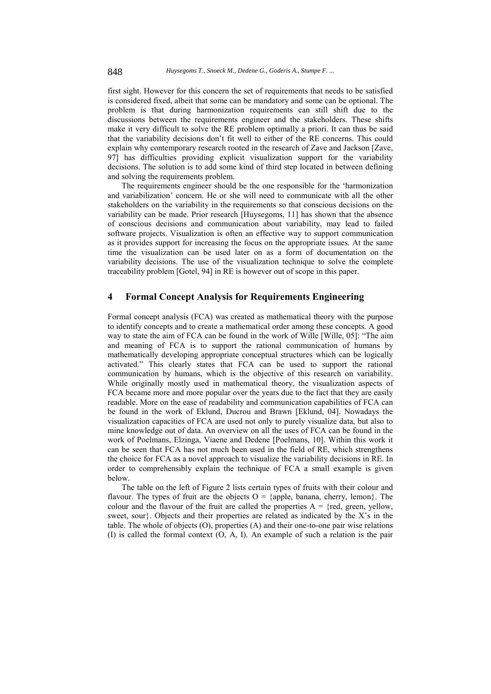first sight. However for this concern the set of requirements that needs to be satisfied is considered fixed, albeit that some can be mandatory and some can be optional. The problem is that during harmonization requirements can still shift due to the discussions between the requirements engineer and the stakeholders. These shifts make it very difficult to solve the RE problem optimally a priori. It can thus be said that the variability decisions don't fit well to either of the RE concerns. This could explain why contemporary research rooted in the research of Zave and Jackson [Zave, 97] has difficulties providing explicit visualization support for the variability decisions. The solution is to add some kind of third step located in between defining and solving the requirements problem.

The requirements engineer should be the one responsible for the 'harmonization and variabilization' concern. He or she will need to communicate with all the other stakeholders on the variability in the requirements so that conscious decisions on the variability can be made. Prior research [Huysegoms, 11] has shown that the absence of conscious decisions and communication about variability, may lead to failed software projects. Visualization is often an effective way to support communication as it provides support for increasing the focus on the appropriate issues. At the same time the visualization can be used later on as a form of documentation on the variability decisions. The use of the visualization technique to solve the complete traceability problem [Gotel, 94] in RE is however out of scope in this paper.

# **4 Formal Concept Analysis for Requirements Engineering**

Formal concept analysis (FCA) was created as mathematical theory with the purpose to identify concepts and to create a mathematical order among these concepts. A good way to state the aim of FCA can be found in the work of Wille [Wille, 05]: "The aim and meaning of FCA is to support the rational communication of humans by mathematically developing appropriate conceptual structures which can be logically activated." This clearly states that FCA can be used to support the rational communication by humans, which is the objective of this research on variability. While originally mostly used in mathematical theory, the visualization aspects of FCA became more and more popular over the years due to the fact that they are easily readable. More on the ease of readability and communication capabilities of FCA can be found in the work of Eklund, Ducrou and Brawn [Eklund, 04]. Nowadays the visualization capacities of FCA are used not only to purely visualize data, but also to mine knowledge out of data. An overview on all the uses of FCA can be found in the work of Poelmans, Elzinga, Viaene and Dedene [Poelmans, 10]. Within this work it can be seen that FCA has not much been used in the field of RE, which strengthens the choice for FCA as a novel approach to visualize the variability decisions in RE. In order to comprehensibly explain the technique of FCA a small example is given below.

The table on the left of Figure 2 lists certain types of fruits with their colour and flavour. The types of fruit are the objects  $O = \{apple, banana, cherry, lemon\}$ . The colour and the flavour of the fruit are called the properties  $A = \{ red, green, yellow,$ sweet, sour}. Objects and their properties are related as indicated by the X's in the table. The whole of objects (O), properties (A) and their one-to-one pair wise relations (I) is called the formal context (O, A, I). An example of such a relation is the pair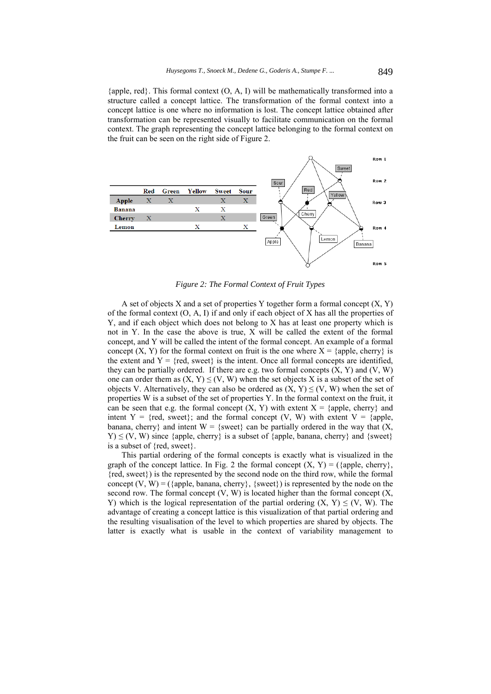${apple, red}$ . This formal context  $(O, A, I)$  will be mathematically transformed into a structure called a concept lattice. The transformation of the formal context into a concept lattice is one where no information is lost. The concept lattice obtained after transformation can be represented visually to facilitate communication on the formal context. The graph representing the concept lattice belonging to the formal context on the fruit can be seen on the right side of Figure 2.



*Figure 2: The Formal Context of Fruit Types* 

A set of objects X and a set of properties Y together form a formal concept  $(X, Y)$ of the formal context (O, A, I) if and only if each object of X has all the properties of Y, and if each object which does not belong to X has at least one property which is not in Y. In the case the above is true, X will be called the extent of the formal concept, and Y will be called the intent of the formal concept. An example of a formal concept  $(X, Y)$  for the formal context on fruit is the one where  $X = \{ \text{apple}, \text{cherry} \}$  is the extent and  $Y = \{ red, sweet\}$  is the intent. Once all formal concepts are identified, they can be partially ordered. If there are e.g. two formal concepts  $(X, Y)$  and  $(V, W)$ one can order them as  $(X, Y) \leq (V, W)$  when the set objects X is a subset of the set of objects V. Alternatively, they can also be ordered as  $(X, Y) \leq (V, W)$  when the set of properties W is a subset of the set of properties Y. In the formal context on the fruit, it can be seen that e.g. the formal concept  $(X, Y)$  with extent  $X = \{ \text{apple}, \text{cherry} \}$  and intent  $Y = \{red, sweet\}$ ; and the formal concept  $(V, W)$  with extent  $V = \{apple,$ banana, cherry} and intent  $W = \{$ sweet $\}$  can be partially ordered in the way that  $(X, \)$  $Y$ )  $\leq$  (V, W) since {apple, cherry} is a subset of {apple, banana, cherry} and {sweet} is a subset of {red, sweet}.

This partial ordering of the formal concepts is exactly what is visualized in the graph of the concept lattice. In Fig. 2 the formal concept  $(X, Y) = (\{ \text{apple}, \text{ cherry} \},$ {red, sweet}) is the represented by the second node on the third row, while the formal concept  $(V, W) = (\{apple, banana, cherry\}, \{sweet\})$  is represented by the node on the second row. The formal concept  $(V, W)$  is located higher than the formal concept  $(X, W)$ Y) which is the logical representation of the partial ordering  $(X, Y) \leq (V, W)$ . The advantage of creating a concept lattice is this visualization of that partial ordering and the resulting visualisation of the level to which properties are shared by objects. The latter is exactly what is usable in the context of variability management to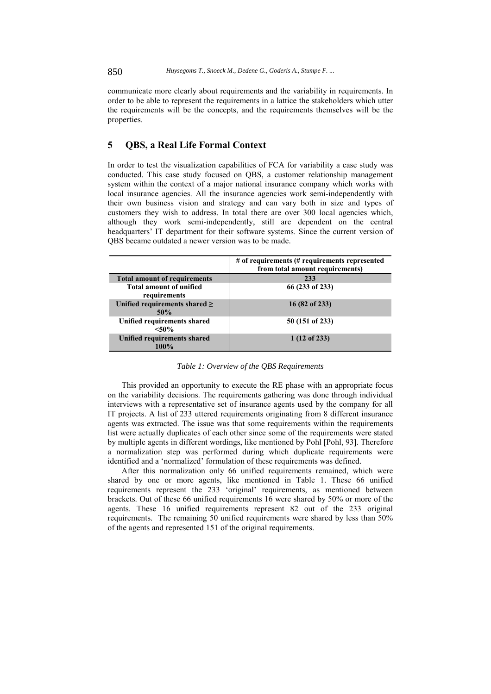communicate more clearly about requirements and the variability in requirements. In order to be able to represent the requirements in a lattice the stakeholders which utter the requirements will be the concepts, and the requirements themselves will be the properties.

## **5 QBS, a Real Life Formal Context**

In order to test the visualization capabilities of FCA for variability a case study was conducted. This case study focused on QBS, a customer relationship management system within the context of a major national insurance company which works with local insurance agencies. All the insurance agencies work semi-independently with their own business vision and strategy and can vary both in size and types of customers they wish to address. In total there are over 300 local agencies which, although they work semi-independently, still are dependent on the central headquarters' IT department for their software systems. Since the current version of QBS became outdated a newer version was to be made.

|                                                | # of requirements (# requirements represented<br>from total amount requirements) |
|------------------------------------------------|----------------------------------------------------------------------------------|
| <b>Total amount of requirements</b>            | 233                                                                              |
| <b>Total amount of unified</b><br>requirements | 66 (233 of 233)                                                                  |
| Unified requirements shared $\geq$<br>50%      | $16(82 \text{ of } 233)$                                                         |
| Unified requirements shared<br>$< 50\%$        | 50 (151 of 233)                                                                  |
| <b>Unified requirements shared</b><br>100%     | $1(12 \text{ of } 233)$                                                          |

*Table 1: Overview of the QBS Requirements* 

This provided an opportunity to execute the RE phase with an appropriate focus on the variability decisions. The requirements gathering was done through individual interviews with a representative set of insurance agents used by the company for all IT projects. A list of 233 uttered requirements originating from 8 different insurance agents was extracted. The issue was that some requirements within the requirements list were actually duplicates of each other since some of the requirements were stated by multiple agents in different wordings, like mentioned by Pohl [Pohl, 93]. Therefore a normalization step was performed during which duplicate requirements were identified and a 'normalized' formulation of these requirements was defined.

After this normalization only 66 unified requirements remained, which were shared by one or more agents, like mentioned in Table 1. These 66 unified requirements represent the 233 'original' requirements, as mentioned between brackets. Out of these 66 unified requirements 16 were shared by 50% or more of the agents. These 16 unified requirements represent 82 out of the 233 original requirements. The remaining 50 unified requirements were shared by less than 50% of the agents and represented 151 of the original requirements.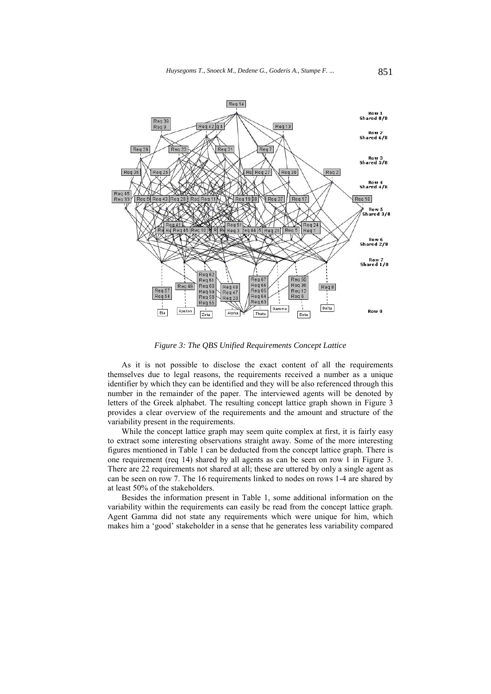

*Figure 3: The QBS Unified Requirements Concept Lattice* 

As it is not possible to disclose the exact content of all the requirements themselves due to legal reasons, the requirements received a number as a unique identifier by which they can be identified and they will be also referenced through this number in the remainder of the paper. The interviewed agents will be denoted by letters of the Greek alphabet. The resulting concept lattice graph shown in Figure 3 provides a clear overview of the requirements and the amount and structure of the variability present in the requirements.

While the concept lattice graph may seem quite complex at first, it is fairly easy to extract some interesting observations straight away. Some of the more interesting figures mentioned in Table 1 can be deducted from the concept lattice graph. There is one requirement (req 14) shared by all agents as can be seen on row 1 in Figure 3. There are 22 requirements not shared at all; these are uttered by only a single agent as can be seen on row 7. The 16 requirements linked to nodes on rows 1-4 are shared by at least 50% of the stakeholders.

Besides the information present in Table 1, some additional information on the variability within the requirements can easily be read from the concept lattice graph. Agent Gamma did not state any requirements which were unique for him, which makes him a 'good' stakeholder in a sense that he generates less variability compared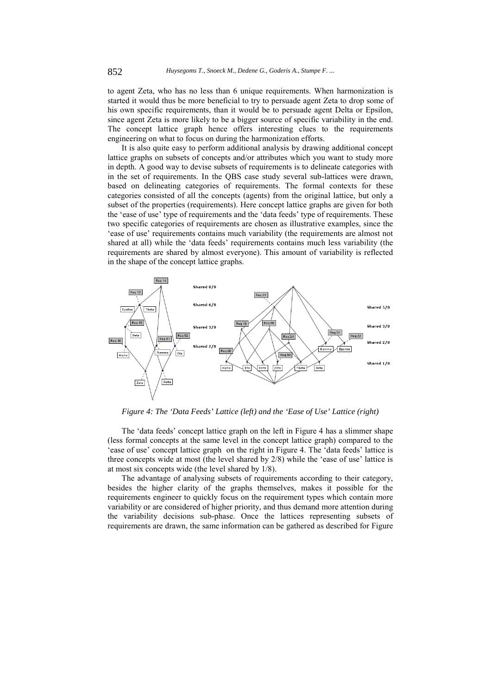to agent Zeta, who has no less than 6 unique requirements. When harmonization is started it would thus be more beneficial to try to persuade agent Zeta to drop some of his own specific requirements, than it would be to persuade agent Delta or Epsilon, since agent Zeta is more likely to be a bigger source of specific variability in the end. The concept lattice graph hence offers interesting clues to the requirements engineering on what to focus on during the harmonization efforts.

It is also quite easy to perform additional analysis by drawing additional concept lattice graphs on subsets of concepts and/or attributes which you want to study more in depth. A good way to devise subsets of requirements is to delineate categories with in the set of requirements. In the QBS case study several sub-lattices were drawn, based on delineating categories of requirements. The formal contexts for these categories consisted of all the concepts (agents) from the original lattice, but only a subset of the properties (requirements). Here concept lattice graphs are given for both the 'ease of use' type of requirements and the 'data feeds' type of requirements. These two specific categories of requirements are chosen as illustrative examples, since the 'ease of use' requirements contains much variability (the requirements are almost not shared at all) while the 'data feeds' requirements contains much less variability (the requirements are shared by almost everyone). This amount of variability is reflected in the shape of the concept lattice graphs.



*Figure 4: The 'Data Feeds' Lattice (left) and the 'Ease of Use' Lattice (right)* 

The 'data feeds' concept lattice graph on the left in Figure 4 has a slimmer shape (less formal concepts at the same level in the concept lattice graph) compared to the 'ease of use' concept lattice graph on the right in Figure 4. The 'data feeds' lattice is three concepts wide at most (the level shared by 2/8) while the 'ease of use' lattice is at most six concepts wide (the level shared by 1/8).

The advantage of analysing subsets of requirements according to their category, besides the higher clarity of the graphs themselves, makes it possible for the requirements engineer to quickly focus on the requirement types which contain more variability or are considered of higher priority, and thus demand more attention during the variability decisions sub-phase. Once the lattices representing subsets of requirements are drawn, the same information can be gathered as described for Figure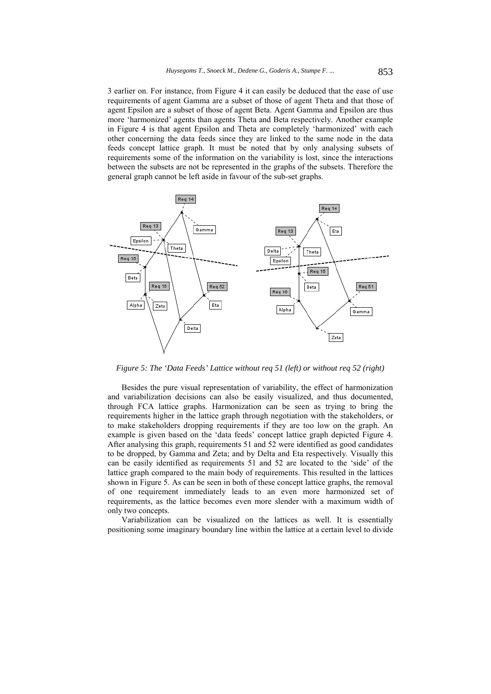3 earlier on. For instance, from Figure 4 it can easily be deduced that the ease of use requirements of agent Gamma are a subset of those of agent Theta and that those of agent Epsilon are a subset of those of agent Beta. Agent Gamma and Epsilon are thus more 'harmonized' agents than agents Theta and Beta respectively. Another example in Figure 4 is that agent Epsilon and Theta are completely 'harmonized' with each other concerning the data feeds since they are linked to the same node in the data feeds concept lattice graph. It must be noted that by only analysing subsets of requirements some of the information on the variability is lost, since the interactions between the subsets are not be represented in the graphs of the subsets. Therefore the general graph cannot be left aside in favour of the sub-set graphs.



*Figure 5: The 'Data Feeds' Lattice without req 51 (left) or without req 52 (right)* 

Besides the pure visual representation of variability, the effect of harmonization and variabilization decisions can also be easily visualized, and thus documented, through FCA lattice graphs. Harmonization can be seen as trying to bring the requirements higher in the lattice graph through negotiation with the stakeholders, or to make stakeholders dropping requirements if they are too low on the graph. An example is given based on the 'data feeds' concept lattice graph depicted Figure 4. After analysing this graph, requirements 51 and 52 were identified as good candidates to be dropped, by Gamma and Zeta; and by Delta and Eta respectively. Visually this can be easily identified as requirements 51 and 52 are located to the 'side' of the lattice graph compared to the main body of requirements. This resulted in the lattices shown in Figure 5. As can be seen in both of these concept lattice graphs, the removal of one requirement immediately leads to an even more harmonized set of requirements, as the lattice becomes even more slender with a maximum width of only two concepts.

Variabilization can be visualized on the lattices as well. It is essentially positioning some imaginary boundary line within the lattice at a certain level to divide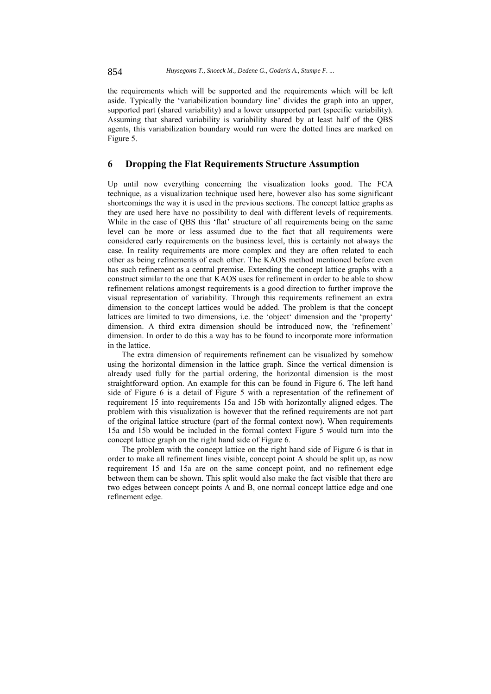the requirements which will be supported and the requirements which will be left aside. Typically the 'variabilization boundary line' divides the graph into an upper, supported part (shared variability) and a lower unsupported part (specific variability). Assuming that shared variability is variability shared by at least half of the QBS agents, this variabilization boundary would run were the dotted lines are marked on Figure 5.

#### **6 Dropping the Flat Requirements Structure Assumption**

Up until now everything concerning the visualization looks good. The FCA technique, as a visualization technique used here, however also has some significant shortcomings the way it is used in the previous sections. The concept lattice graphs as they are used here have no possibility to deal with different levels of requirements. While in the case of QBS this 'flat' structure of all requirements being on the same level can be more or less assumed due to the fact that all requirements were considered early requirements on the business level, this is certainly not always the case. In reality requirements are more complex and they are often related to each other as being refinements of each other. The KAOS method mentioned before even has such refinement as a central premise. Extending the concept lattice graphs with a construct similar to the one that KAOS uses for refinement in order to be able to show refinement relations amongst requirements is a good direction to further improve the visual representation of variability. Through this requirements refinement an extra dimension to the concept lattices would be added. The problem is that the concept lattices are limited to two dimensions, i.e. the 'object' dimension and the 'property' dimension. A third extra dimension should be introduced now, the 'refinement' dimension. In order to do this a way has to be found to incorporate more information in the lattice.

The extra dimension of requirements refinement can be visualized by somehow using the horizontal dimension in the lattice graph. Since the vertical dimension is already used fully for the partial ordering, the horizontal dimension is the most straightforward option. An example for this can be found in Figure 6. The left hand side of Figure 6 is a detail of Figure 5 with a representation of the refinement of requirement 15 into requirements 15a and 15b with horizontally aligned edges. The problem with this visualization is however that the refined requirements are not part of the original lattice structure (part of the formal context now). When requirements 15a and 15b would be included in the formal context Figure 5 would turn into the concept lattice graph on the right hand side of Figure 6.

The problem with the concept lattice on the right hand side of Figure 6 is that in order to make all refinement lines visible, concept point A should be split up, as now requirement 15 and 15a are on the same concept point, and no refinement edge between them can be shown. This split would also make the fact visible that there are two edges between concept points A and B, one normal concept lattice edge and one refinement edge.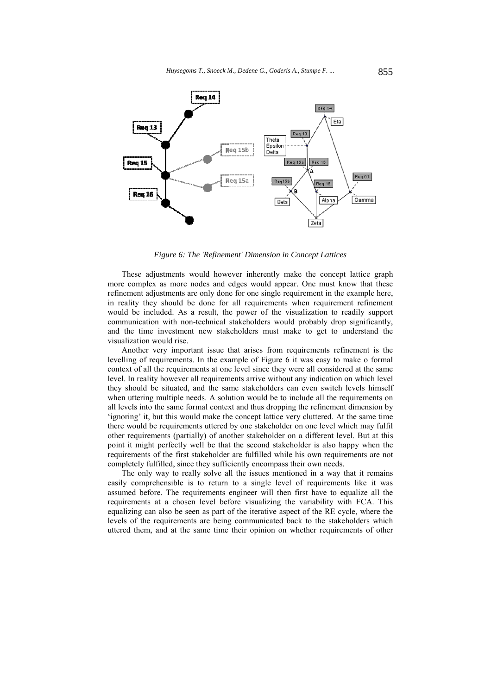

*Figure 6: The 'Refinement' Dimension in Concept Lattices* 

These adjustments would however inherently make the concept lattice graph more complex as more nodes and edges would appear. One must know that these refinement adjustments are only done for one single requirement in the example here, in reality they should be done for all requirements when requirement refinement would be included. As a result, the power of the visualization to readily support communication with non-technical stakeholders would probably drop significantly, and the time investment new stakeholders must make to get to understand the visualization would rise.

Another very important issue that arises from requirements refinement is the levelling of requirements. In the example of Figure 6 it was easy to make o formal context of all the requirements at one level since they were all considered at the same level. In reality however all requirements arrive without any indication on which level they should be situated, and the same stakeholders can even switch levels himself when uttering multiple needs. A solution would be to include all the requirements on all levels into the same formal context and thus dropping the refinement dimension by 'ignoring' it, but this would make the concept lattice very cluttered. At the same time there would be requirements uttered by one stakeholder on one level which may fulfil other requirements (partially) of another stakeholder on a different level. But at this point it might perfectly well be that the second stakeholder is also happy when the requirements of the first stakeholder are fulfilled while his own requirements are not completely fulfilled, since they sufficiently encompass their own needs.

The only way to really solve all the issues mentioned in a way that it remains easily comprehensible is to return to a single level of requirements like it was assumed before. The requirements engineer will then first have to equalize all the requirements at a chosen level before visualizing the variability with FCA. This equalizing can also be seen as part of the iterative aspect of the RE cycle, where the levels of the requirements are being communicated back to the stakeholders which uttered them, and at the same time their opinion on whether requirements of other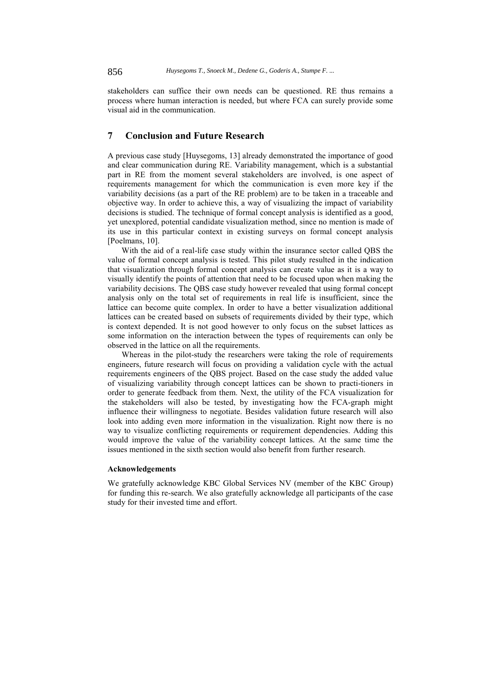stakeholders can suffice their own needs can be questioned. RE thus remains a process where human interaction is needed, but where FCA can surely provide some visual aid in the communication.

# **7 Conclusion and Future Research**

A previous case study [Huysegoms, 13] already demonstrated the importance of good and clear communication during RE. Variability management, which is a substantial part in RE from the moment several stakeholders are involved, is one aspect of requirements management for which the communication is even more key if the variability decisions (as a part of the RE problem) are to be taken in a traceable and objective way. In order to achieve this, a way of visualizing the impact of variability decisions is studied. The technique of formal concept analysis is identified as a good, yet unexplored, potential candidate visualization method, since no mention is made of its use in this particular context in existing surveys on formal concept analysis [Poelmans, 10].

With the aid of a real-life case study within the insurance sector called QBS the value of formal concept analysis is tested. This pilot study resulted in the indication that visualization through formal concept analysis can create value as it is a way to visually identify the points of attention that need to be focused upon when making the variability decisions. The QBS case study however revealed that using formal concept analysis only on the total set of requirements in real life is insufficient, since the lattice can become quite complex. In order to have a better visualization additional lattices can be created based on subsets of requirements divided by their type, which is context depended. It is not good however to only focus on the subset lattices as some information on the interaction between the types of requirements can only be observed in the lattice on all the requirements.

Whereas in the pilot-study the researchers were taking the role of requirements engineers, future research will focus on providing a validation cycle with the actual requirements engineers of the QBS project. Based on the case study the added value of visualizing variability through concept lattices can be shown to practi-tioners in order to generate feedback from them. Next, the utility of the FCA visualization for the stakeholders will also be tested, by investigating how the FCA-graph might influence their willingness to negotiate. Besides validation future research will also look into adding even more information in the visualization. Right now there is no way to visualize conflicting requirements or requirement dependencies. Adding this would improve the value of the variability concept lattices. At the same time the issues mentioned in the sixth section would also benefit from further research.

#### **Acknowledgements**

We gratefully acknowledge KBC Global Services NV (member of the KBC Group) for funding this re-search. We also gratefully acknowledge all participants of the case study for their invested time and effort.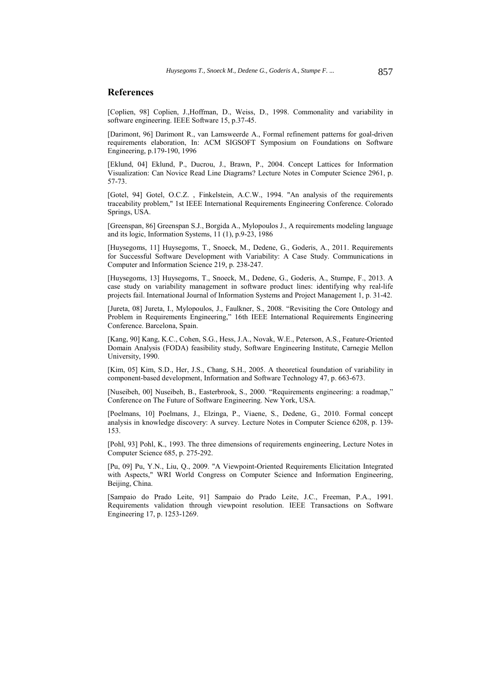#### **References**

[Coplien, 98] Coplien, J.,Hoffman, D., Weiss, D., 1998. Commonality and variability in software engineering. IEEE Software 15, p.37-45.

[Darimont, 96] Darimont R., van Lamsweerde A., Formal refinement patterns for goal-driven requirements elaboration, In: ACM SIGSOFT Symposium on Foundations on Software Engineering, p.179-190, 1996

[Eklund, 04] Eklund, P., Ducrou, J., Brawn, P., 2004. Concept Lattices for Information Visualization: Can Novice Read Line Diagrams? Lecture Notes in Computer Science 2961, p. 57-73.

[Gotel, 94] Gotel, O.C.Z., Finkelstein, A.C.W., 1994. "An analysis of the requirements traceability problem," 1st IEEE International Requirements Engineering Conference. Colorado Springs, USA.

[Greenspan, 86] Greenspan S.J., Borgida A., Mylopoulos J., A requirements modeling language and its logic, Information Systems, 11 (1), p.9-23, 1986

[Huysegoms, 11] Huysegoms, T., Snoeck, M., Dedene, G., Goderis, A., 2011. Requirements for Successful Software Development with Variability: A Case Study. Communications in Computer and Information Science 219, p. 238-247.

[Huysegoms, 13] Huysegoms, T., Snoeck, M., Dedene, G., Goderis, A., Stumpe, F., 2013. A case study on variability management in software product lines: identifying why real-life projects fail. International Journal of Information Systems and Project Management 1, p. 31-42.

[Jureta, 08] Jureta, I., Mylopoulos, J., Faulkner, S., 2008. "Revisiting the Core Ontology and Problem in Requirements Engineering," 16th IEEE International Requirements Engineering Conference. Barcelona, Spain.

[Kang, 90] Kang, K.C., Cohen, S.G., Hess, J.A., Novak, W.E., Peterson, A.S., Feature-Oriented Domain Analysis (FODA) feasibility study, Software Engineering Institute, Carnegie Mellon University, 1990.

[Kim, 05] Kim, S.D., Her, J.S., Chang, S.H., 2005. A theoretical foundation of variability in component-based development, Information and Software Technology 47, p. 663-673.

[Nuseibeh, 00] Nuseibeh, B., Easterbrook, S., 2000. "Requirements engineering: a roadmap," Conference on The Future of Software Engineering. New York, USA.

[Poelmans, 10] Poelmans, J., Elzinga, P., Viaene, S., Dedene, G., 2010. Formal concept analysis in knowledge discovery: A survey. Lecture Notes in Computer Science 6208, p. 139- 153.

[Pohl, 93] Pohl, K., 1993. The three dimensions of requirements engineering, Lecture Notes in Computer Science 685, p. 275-292.

[Pu, 09] Pu, Y.N., Liu, Q., 2009. "A Viewpoint-Oriented Requirements Elicitation Integrated with Aspects," WRI World Congress on Computer Science and Information Engineering, Beijing, China.

[Sampaio do Prado Leite, 91] Sampaio do Prado Leite, J.C., Freeman, P.A., 1991. Requirements validation through viewpoint resolution. IEEE Transactions on Software Engineering 17, p. 1253-1269.